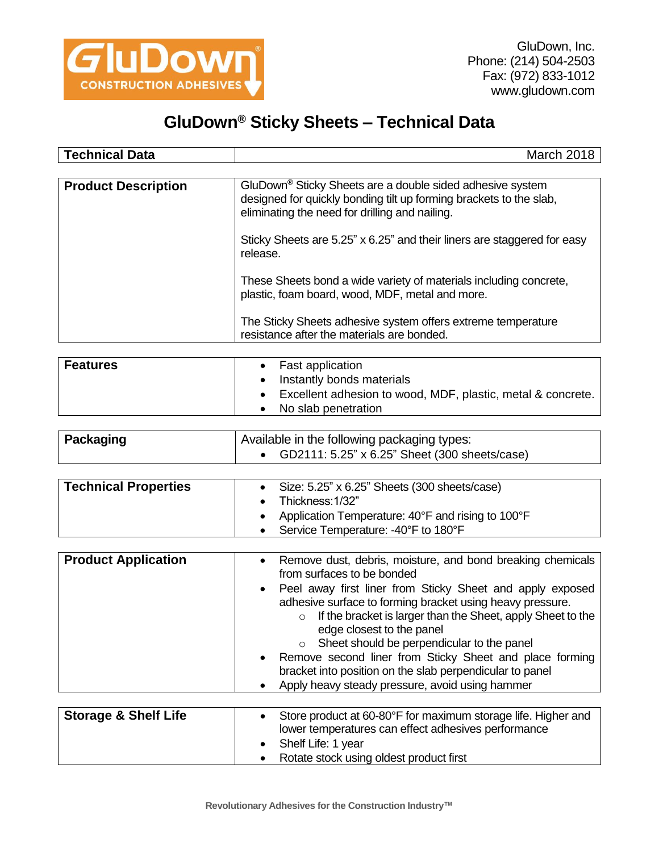

## **GluDown® Sticky Sheets – Technical Data**

| <b>Technical Data</b>      | March 2018                                                                                                                                                                                                                                                                                                                                                                                                   |
|----------------------------|--------------------------------------------------------------------------------------------------------------------------------------------------------------------------------------------------------------------------------------------------------------------------------------------------------------------------------------------------------------------------------------------------------------|
| <b>Product Description</b> | GluDown <sup>®</sup> Sticky Sheets are a double sided adhesive system<br>designed for quickly bonding tilt up forming brackets to the slab,<br>eliminating the need for drilling and nailing.<br>Sticky Sheets are 5.25" x 6.25" and their liners are staggered for easy<br>release.<br>These Sheets bond a wide variety of materials including concrete,<br>plastic, foam board, wood, MDF, metal and more. |
|                            | The Sticky Sheets adhesive system offers extreme temperature<br>resistance after the materials are bonded.                                                                                                                                                                                                                                                                                                   |

| <b>Features</b> | <b>Fast application</b><br>Instantly bonds materials                               |
|-----------------|------------------------------------------------------------------------------------|
|                 | Excellent adhesion to wood, MDF, plastic, metal & concrete.<br>No slab penetration |

| Packaging | Available in the following packaging types:            |
|-----------|--------------------------------------------------------|
|           | • $GD2111: 5.25" \times 6.25"$ Sheet (300 sheets/case) |

| <b>Technical Properties</b> | • Size: $5.25$ " x $6.25$ " Sheets (300 sheets/case)<br>$\bullet$ Thickness: 1/32"<br>• Application Temperature: $40^{\circ}$ F and rising to $100^{\circ}$ F<br>• Service Temperature: -40°F to 180°F |
|-----------------------------|--------------------------------------------------------------------------------------------------------------------------------------------------------------------------------------------------------|
|-----------------------------|--------------------------------------------------------------------------------------------------------------------------------------------------------------------------------------------------------|

| <b>Product Application</b>      | Remove dust, debris, moisture, and bond breaking chemicals<br>from surfaces to be bonded<br>Peel away first liner from Sticky Sheet and apply exposed<br>adhesive surface to forming bracket using heavy pressure.<br>If the bracket is larger than the Sheet, apply Sheet to the<br>$\circ$<br>edge closest to the panel<br>Sheet should be perpendicular to the panel<br>$\circ$<br>Remove second liner from Sticky Sheet and place forming<br>bracket into position on the slab perpendicular to panel<br>Apply heavy steady pressure, avoid using hammer |
|---------------------------------|--------------------------------------------------------------------------------------------------------------------------------------------------------------------------------------------------------------------------------------------------------------------------------------------------------------------------------------------------------------------------------------------------------------------------------------------------------------------------------------------------------------------------------------------------------------|
| <b>Storage &amp; Shelf Life</b> | Store product at 60-80°F for maximum storage life. Higher and<br>lower temperatures can effect adhesives performance<br>Shelf Life: 1 year                                                                                                                                                                                                                                                                                                                                                                                                                   |